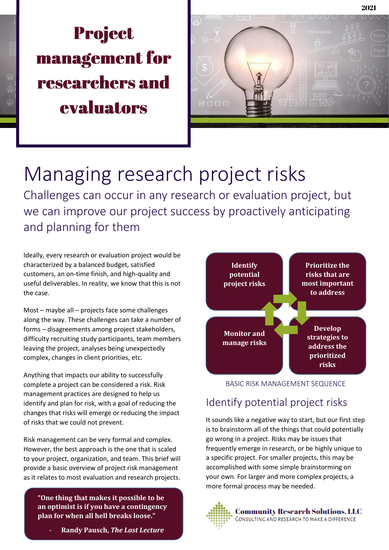# **Project** management for researchers and evaluators



## Managing research project risks

Challenges can occur in any research or evaluation project, but we can improve our project success by proactively anticipating and planning for them

Ideally, every research or evaluation project would be characterized by a balanced budget, satisfied customers, an on-time finish, and high-quality and useful deliverables. In reality, we know that this is not the case.

Most – maybe all – projects face some challenges along the way. These challenges can take a number of forms – disagreements among project stakeholders, difficulty recruiting study participants, team members leaving the project, analyses being unexpectedly complex, changes in client priorities, etc.

Anything that impacts our ability to successfully complete a project can be considered a risk. Risk management practices are designed to help us identify and plan for risk, with a goal of reducing the changes that risks will emerge or reducing the impact of risks that we could not prevent.

Risk management can be very formal and complex. However, the best approach is the one that is scaled to your project, organization, and team. This brief will provide a basic overview of project risk management as it relates to most evaluation and research projects.

**"One thing that makes it possible to be an optimist is if you have a contingency plan for when all hell breaks loose."**

- **Randy Pausch,** *The Last Lecture*



#### BASIC RISK MANAGEMENT SEQUENCE

### Identify potential project risks

It sounds like a negative way to start, but our first step is to brainstorm all of the things that could potentially go wrong in a project. Risks may be issues that frequently emerge in research, or be highly unique to a specific project. For smaller projects, this may be accomplished with some simple brainstorming on your own. For larger and more complex projects, a more formal process may be needed.

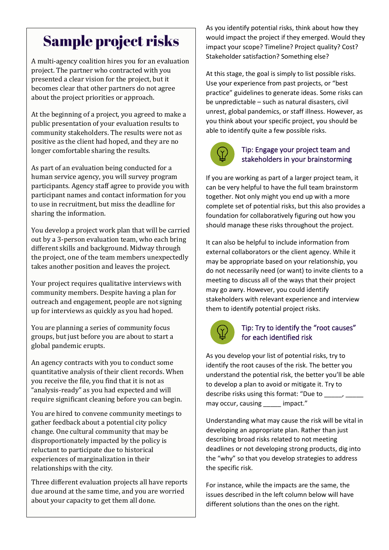## **Sample project risks**

A multi-agency coalition hires you for an evaluation project. The partner who contracted with you presented a clear vision for the project, but it becomes clear that other partners do not agree about the project priorities or approach.

At the beginning of a project, you agreed to make a public presentation of your evaluation results to community stakeholders. The results were not as positive as the client had hoped, and they are no longer comfortable sharing the results.

As part of an evaluation being conducted for a human service agency, you will survey program participants. Agency staff agree to provide you with participant names and contact information for you to use in recruitment, but miss the deadline for sharing the information.

You develop a project work plan that will be carried out by a 3-person evaluation team, who each bring different skills and background. Midway through the project, one of the team members unexpectedly takes another position and leaves the project.

Your project requires qualitative interviews with community members. Despite having a plan for outreach and engagement, people are not signing up for interviews as quickly as you had hoped.

You are planning a series of community focus groups, but just before you are about to start a global pandemic erupts.

An agency contracts with you to conduct some quantitative analysis of their client records. When you receive the file, you find that it is not as "analysis-ready" as you had expected and will require significant cleaning before you can begin.

You are hired to convene community meetings to gather feedback about a potential city policy change. One cultural community that may be disproportionately impacted by the policy is reluctant to participate due to historical experiences of marginalization in their relationships with the city.

Three different evaluation projects all have reports due around at the same time, and you are worried about your capacity to get them all done.

As you identify potential risks, think about how they would impact the project if they emerged. Would they impact your scope? Timeline? Project quality? Cost? Stakeholder satisfaction? Something else?

At this stage, the goal is simply to list possible risks. Use your experience from past projects, or "best practice" guidelines to generate ideas. Some risks can be unpredictable – such as natural disasters, civil unrest, global pandemics, or staff illness. However, as you think about your specific project, you should be able to identify quite a few possible risks.



#### Tip: Engage your project team and stakeholders in your brainstorming

If you are working as part of a larger project team, it can be very helpful to have the full team brainstorm together. Not only might you end up with a more complete set of potential risks, but this also provides a foundation for collaboratively figuring out how you should manage these risks throughout the project.

It can also be helpful to include information from external collaborators or the client agency. While it may be appropriate based on your relationship, you do not necessarily need (or want) to invite clients to a meeting to discuss all of the ways that their project may go awry. However, you could identify stakeholders with relevant experience and interview them to identify potential project risks.



#### Tip: Try to identify the "root causes" for each identified risk

As you develop your list of potential risks, try to identify the root causes of the risk. The better you understand the potential risk, the better you'll be able to develop a plan to avoid or mitigate it. Try to describe risks using this format: "Due to  $\qquad \qquad ,$ may occur, causing \_\_\_\_\_ impact."

Understanding what may cause the risk will be vital in developing an appropriate plan. Rather than just describing broad risks related to not meeting deadlines or not developing strong products, dig into the "why" so that you develop strategies to address the specific risk.

For instance, while the impacts are the same, the issues described in the left column below will have different solutions than the ones on the right.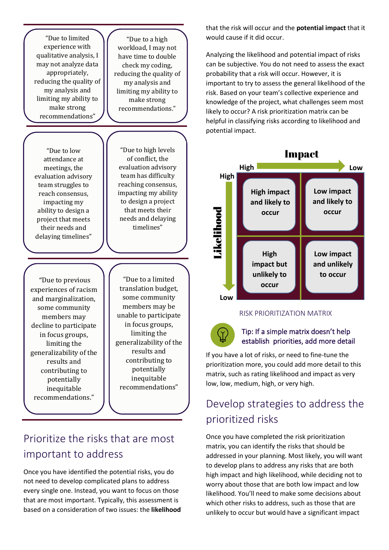"Due to limited experience with qualitative analysis, I may not analyze data appropriately, reducing the quality of my analysis and limiting my ability to make strong recommendations"

"Due to low attendance at meetings, the evaluation advisory team struggles to reach consensus, impacting my ability to design a project that meets their needs and delaying timelines"

"Due to a high workload, I may not have time to double check my coding, reducing the quality of my analysis and limiting my ability to make strong recommendations."

"Due to high levels of conflict, the evaluation advisory team has difficulty reaching consensus, impacting my ability to design a project that meets their needs and delaying timelines"

"Due to previous experiences of racism and marginalization, some community members may decline to participate in focus groups, limiting the generalizability of the results and contributing to potentially inequitable recommendations."

"Due to a limited translation budget, some community members may be unable to participate in focus groups, limiting the generalizability of the results and contributing to potentially inequitable recommendations"

## Prioritize the risks that are most important to address

Once you have identified the potential risks, you do not need to develop complicated plans to address every single one. Instead, you want to focus on those that are most important. Typically, this assessment is based on a consideration of two issues: the **likelihood** that the risk will occur and the **potential impact** that it would cause if it did occur.

Analyzing the likelihood and potential impact of risks can be subjective. You do not need to assess the exact probability that a risk will occur. However, it is important to try to assess the general likelihood of the risk. Based on your team's collective experience and knowledge of the project, what challenges seem most likely to occur? A risk prioritization matrix can be helpful in classifying risks according to likelihood and potential impact.



#### RISK PRIORITIZATION MATRIX

#### Tip: If a simple matrix doesn't help establish priorities, add more detail

If you have a lot of risks, or need to fine-tune the prioritization more, you could add more detail to this matrix, such as rating likelihood and impact as very low, low, medium, high, or very high.

## Develop strategies to address the prioritized risks

Once you have completed the risk prioritization matrix, you can identify the risks that should be addressed in your planning. Most likely, you will want to develop plans to address any risks that are both high impact and high likelihood, while deciding not to worry about those that are both low impact and low likelihood. You'll need to make some decisions about which other risks to address, such as those that are unlikely to occur but would have a significant impact